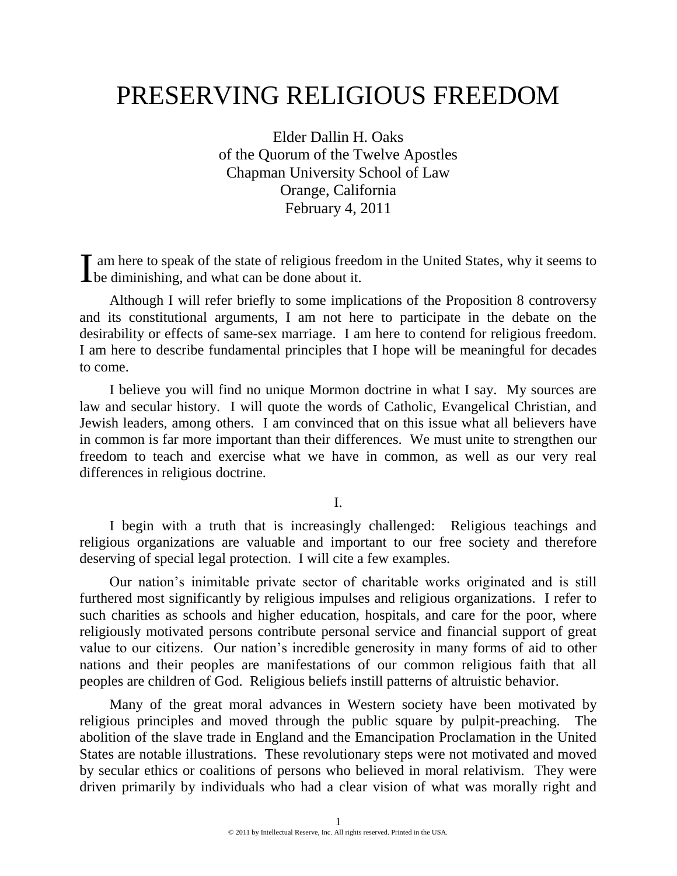# PRESERVING RELIGIOUS FREEDOM

Elder Dallin H. Oaks of the Quorum of the Twelve Apostles Chapman University School of Law Orange, California February 4, 2011

am here to speak of the state of religious freedom in the United States, why it seems to If am here to speak of the state of religious freed<br>be diminishing, and what can be done about it.

Although I will refer briefly to some implications of the Proposition 8 controversy and its constitutional arguments, I am not here to participate in the debate on the desirability or effects of same-sex marriage. I am here to contend for religious freedom. I am here to describe fundamental principles that I hope will be meaningful for decades to come.

I believe you will find no unique Mormon doctrine in what I say. My sources are law and secular history. I will quote the words of Catholic, Evangelical Christian, and Jewish leaders, among others. I am convinced that on this issue what all believers have in common is far more important than their differences. We must unite to strengthen our freedom to teach and exercise what we have in common, as well as our very real differences in religious doctrine.

I.

I begin with a truth that is increasingly challenged: Religious teachings and religious organizations are valuable and important to our free society and therefore deserving of special legal protection. I will cite a few examples.

Our nation's inimitable private sector of charitable works originated and is still furthered most significantly by religious impulses and religious organizations. I refer to such charities as schools and higher education, hospitals, and care for the poor, where religiously motivated persons contribute personal service and financial support of great value to our citizens. Our nation's incredible generosity in many forms of aid to other nations and their peoples are manifestations of our common religious faith that all peoples are children of God. Religious beliefs instill patterns of altruistic behavior.

Many of the great moral advances in Western society have been motivated by religious principles and moved through the public square by pulpit-preaching. The abolition of the slave trade in England and the Emancipation Proclamation in the United States are notable illustrations. These revolutionary steps were not motivated and moved by secular ethics or coalitions of persons who believed in moral relativism. They were driven primarily by individuals who had a clear vision of what was morally right and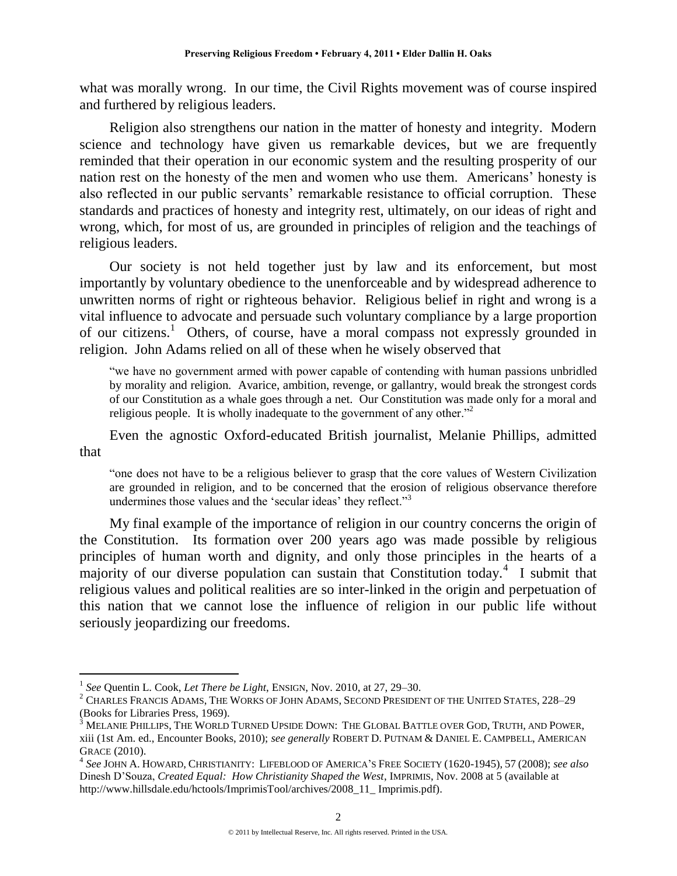what was morally wrong. In our time, the Civil Rights movement was of course inspired and furthered by religious leaders.

Religion also strengthens our nation in the matter of honesty and integrity. Modern science and technology have given us remarkable devices, but we are frequently reminded that their operation in our economic system and the resulting prosperity of our nation rest on the honesty of the men and women who use them. Americans' honesty is also reflected in our public servants' remarkable resistance to official corruption. These standards and practices of honesty and integrity rest, ultimately, on our ideas of right and wrong, which, for most of us, are grounded in principles of religion and the teachings of religious leaders.

Our society is not held together just by law and its enforcement, but most importantly by voluntary obedience to the unenforceable and by widespread adherence to unwritten norms of right or righteous behavior. Religious belief in right and wrong is a vital influence to advocate and persuade such voluntary compliance by a large proportion of our citizens.<sup>1</sup> Others, of course, have a moral compass not expressly grounded in religion. John Adams relied on all of these when he wisely observed that

"we have no government armed with power capable of contending with human passions unbridled by morality and religion. Avarice, ambition, revenge, or gallantry, would break the strongest cords of our Constitution as a whale goes through a net. Our Constitution was made only for a moral and religious people. It is wholly inadequate to the government of any other. $2<sup>2</sup>$ 

Even the agnostic Oxford-educated British journalist, Melanie Phillips, admitted that

"one does not have to be a religious believer to grasp that the core values of Western Civilization are grounded in religion, and to be concerned that the erosion of religious observance therefore undermines those values and the 'secular ideas' they reflect."<sup>3</sup>

My final example of the importance of religion in our country concerns the origin of the Constitution. Its formation over 200 years ago was made possible by religious principles of human worth and dignity, and only those principles in the hearts of a majority of our diverse population can sustain that Constitution today.<sup>4</sup> I submit that religious values and political realities are so inter-linked in the origin and perpetuation of this nation that we cannot lose the influence of religion in our public life without seriously jeopardizing our freedoms.

<sup>1</sup> *See* Quentin L. Cook, *Let There be Light*, ENSIGN, Nov. 2010, at 27, 29–30.

<sup>2</sup> CHARLES FRANCIS ADAMS, THE WORKS OF JOHN ADAMS, SECOND PRESIDENT OF THE UNITED STATES, 228–29 (Books for Libraries Press, 1969).

 $^3$  Melanie Phillips, The World Turned Upside Down: The Global Battle over God, Truth, and Power, xiii (1st Am. ed., Encounter Books, 2010); *see generally* ROBERT D. PUTNAM & DANIEL E. CAMPBELL, AMERICAN GRACE (2010).

<sup>4</sup> *See* JOHN A. HOWARD, CHRISTIANITY: LIFEBLOOD OF AMERICA'S FREE SOCIETY (1620-1945), 57 (2008); *see also* Dinesh D'Souza, *Created Equal: How Christianity Shaped the West*, IMPRIMIS, Nov. 2008 at 5 (available at http://www.hillsdale.edu/hctools/ImprimisTool/archives/2008\_11\_ Imprimis.pdf).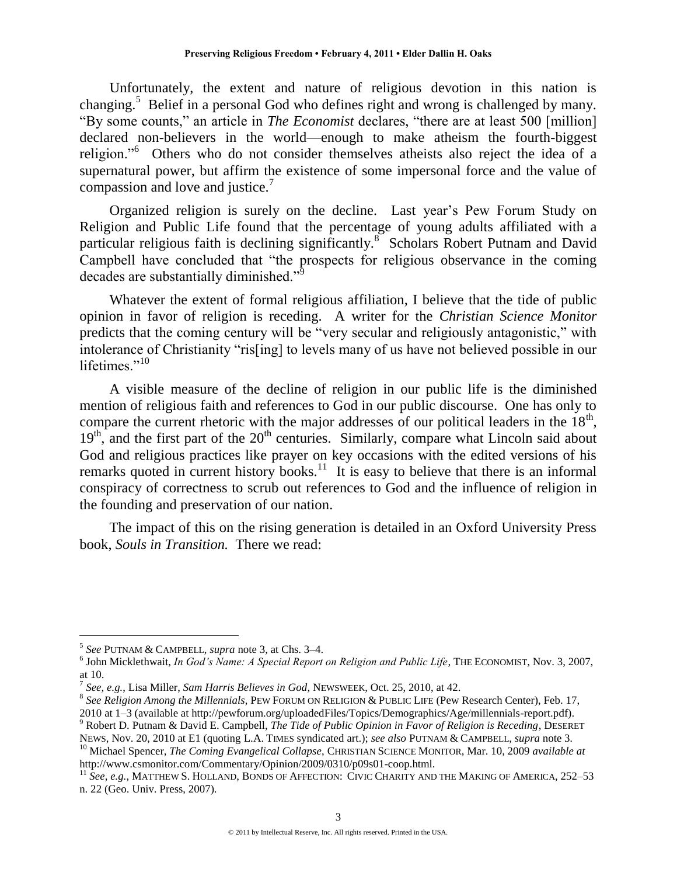Unfortunately, the extent and nature of religious devotion in this nation is changing.<sup>5</sup> Belief in a personal God who defines right and wrong is challenged by many. "By some counts," an article in *The Economist* declares, "there are at least 500 [million] declared non-believers in the world—enough to make atheism the fourth-biggest religion."<sup>6</sup> Others who do not consider themselves atheists also reject the idea of a supernatural power, but affirm the existence of some impersonal force and the value of compassion and love and justice.<sup>7</sup>

Organized religion is surely on the decline. Last year's Pew Forum Study on Religion and Public Life found that the percentage of young adults affiliated with a particular religious faith is declining significantly.<sup>8</sup> Scholars Robert Putnam and David Campbell have concluded that "the prospects for religious observance in the coming decades are substantially diminished."

Whatever the extent of formal religious affiliation, I believe that the tide of public opinion in favor of religion is receding. A writer for the *Christian Science Monitor* predicts that the coming century will be "very secular and religiously antagonistic," with intolerance of Christianity "ris<sup>[ing]</sup> to levels many of us have not believed possible in our lifetimes." $10<sup>10</sup>$ 

A visible measure of the decline of religion in our public life is the diminished mention of religious faith and references to God in our public discourse. One has only to compare the current rhetoric with the major addresses of our political leaders in the  $18<sup>th</sup>$ ,  $19<sup>th</sup>$ , and the first part of the  $20<sup>th</sup>$  centuries. Similarly, compare what Lincoln said about God and religious practices like prayer on key occasions with the edited versions of his remarks quoted in current history books.<sup>11</sup> It is easy to believe that there is an informal conspiracy of correctness to scrub out references to God and the influence of religion in the founding and preservation of our nation.

The impact of this on the rising generation is detailed in an Oxford University Press book, *Souls in Transition.* There we read:

 $\overline{a}$ 

http://www.csmonitor.com/Commentary/Opinion/2009/0310/p09s01-coop.html.

<sup>5</sup> *See* PUTNAM & CAMPBELL, *supra* note 3, at Chs. 3–4.

<sup>&</sup>lt;sup>6</sup> John Micklethwait, *In God's Name: A Special Report on Religion and Public Life*, THE ECONOMIST, Nov. 3, 2007, at 10.

<sup>7</sup> *See, e.g.*, Lisa Miller, *Sam Harris Believes in God*, NEWSWEEK, Oct. 25, 2010, at 42.

<sup>8</sup> *See Religion Among the Millennials*, PEW FORUM ON RELIGION & PUBLIC LIFE (Pew Research Center), Feb. 17, 2010 at 1–3 (available at http://pewforum.org/uploadedFiles/Topics/Demographics/Age/millennials-report.pdf).

<sup>9</sup> Robert D. Putnam & David E. Campbell, *The Tide of Public Opinion in Favor of Religion is Receding*, DESERET

NEWS, Nov. 20, 2010 at E1 (quoting L.A. TIMES syndicated art.); *see also* PUTNAM & CAMPBELL, *supra* note 3*.* <sup>10</sup> Michael Spencer, *The Coming Evangelical Collapse*, CHRISTIAN SCIENCE MONITOR, Mar. 10, 2009 *available at*

<sup>11</sup> *See, e.g.*, MATTHEW S. HOLLAND, BONDS OF AFFECTION: CIVIC CHARITY AND THE MAKING OF AMERICA, 252–53 n. 22 (Geo. Univ. Press, 2007).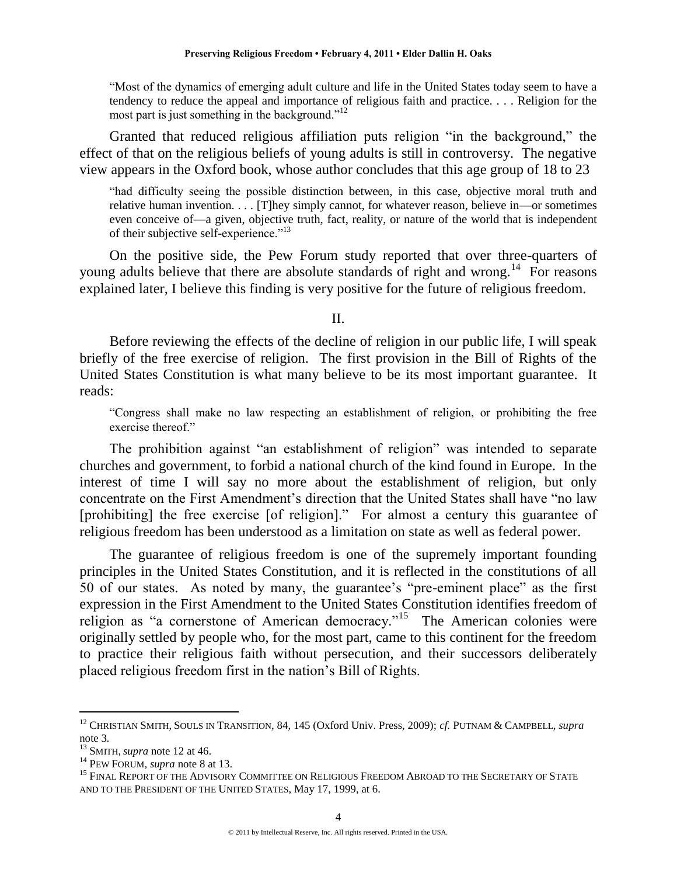―Most of the dynamics of emerging adult culture and life in the United States today seem to have a tendency to reduce the appeal and importance of religious faith and practice. . . . Religion for the most part is just something in the background." $12$ 

Granted that reduced religious affiliation puts religion "in the background," the effect of that on the religious beliefs of young adults is still in controversy. The negative view appears in the Oxford book, whose author concludes that this age group of 18 to 23

―had difficulty seeing the possible distinction between, in this case, objective moral truth and relative human invention. . . . [T]hey simply cannot, for whatever reason, believe in—or sometimes even conceive of—a given, objective truth, fact, reality, or nature of the world that is independent of their subjective self-experience."<sup>13</sup>

On the positive side, the Pew Forum study reported that over three-quarters of young adults believe that there are absolute standards of right and wrong.<sup>14</sup> For reasons explained later, I believe this finding is very positive for the future of religious freedom.

#### II.

Before reviewing the effects of the decline of religion in our public life, I will speak briefly of the free exercise of religion. The first provision in the Bill of Rights of the United States Constitution is what many believe to be its most important guarantee. It reads:

―Congress shall make no law respecting an establishment of religion, or prohibiting the free exercise thereof."

The prohibition against "an establishment of religion" was intended to separate churches and government, to forbid a national church of the kind found in Europe. In the interest of time I will say no more about the establishment of religion, but only concentrate on the First Amendment's direction that the United States shall have "no law [prohibiting] the free exercise [of religion]." For almost a century this guarantee of religious freedom has been understood as a limitation on state as well as federal power.

The guarantee of religious freedom is one of the supremely important founding principles in the United States Constitution, and it is reflected in the constitutions of all 50 of our states. As noted by many, the guarantee's "pre-eminent place" as the first expression in the First Amendment to the United States Constitution identifies freedom of religion as "a cornerstone of American democracy."<sup>15</sup> The American colonies were originally settled by people who, for the most part, came to this continent for the freedom to practice their religious faith without persecution, and their successors deliberately placed religious freedom first in the nation's Bill of Rights.

<sup>12</sup> CHRISTIAN SMITH, SOULS IN TRANSITION, 84, 145 (Oxford Univ. Press, 2009); *cf.* PUTNAM & CAMPBELL, *supra* note 3*.*

<sup>13</sup> SMITH, *supra* note 12 at 46.

<sup>14</sup> PEW FORUM, *supra* note 8 at 13.

<sup>&</sup>lt;sup>15</sup> FINAL REPORT OF THE ADVISORY COMMITTEE ON RELIGIOUS FREEDOM ABROAD TO THE SECRETARY OF STATE AND TO THE PRESIDENT OF THE UNITED STATES, May 17, 1999, at 6.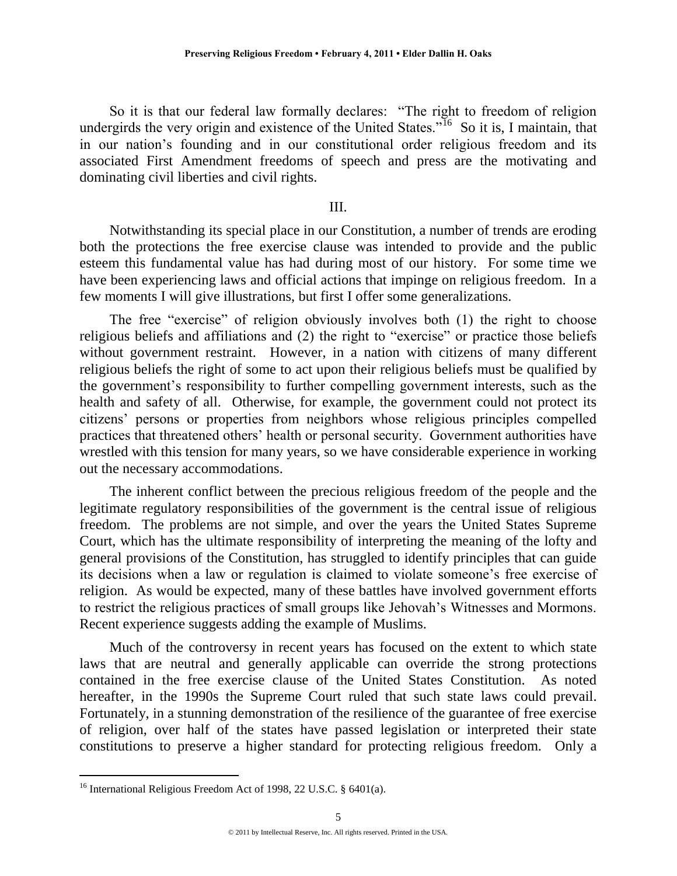So it is that our federal law formally declares: "The right to freedom of religion undergirds the very origin and existence of the United States.<sup> $16$ </sup> So it is, I maintain, that in our nation's founding and in our constitutional order religious freedom and its associated First Amendment freedoms of speech and press are the motivating and dominating civil liberties and civil rights.

## III.

Notwithstanding its special place in our Constitution, a number of trends are eroding both the protections the free exercise clause was intended to provide and the public esteem this fundamental value has had during most of our history. For some time we have been experiencing laws and official actions that impinge on religious freedom. In a few moments I will give illustrations, but first I offer some generalizations.

The free "exercise" of religion obviously involves both  $(1)$  the right to choose religious beliefs and affiliations and  $(2)$  the right to "exercise" or practice those beliefs without government restraint. However, in a nation with citizens of many different religious beliefs the right of some to act upon their religious beliefs must be qualified by the government's responsibility to further compelling government interests, such as the health and safety of all. Otherwise, for example, the government could not protect its citizens' persons or properties from neighbors whose religious principles compelled practices that threatened others' health or personal security. Government authorities have wrestled with this tension for many years, so we have considerable experience in working out the necessary accommodations.

The inherent conflict between the precious religious freedom of the people and the legitimate regulatory responsibilities of the government is the central issue of religious freedom. The problems are not simple, and over the years the United States Supreme Court, which has the ultimate responsibility of interpreting the meaning of the lofty and general provisions of the Constitution, has struggled to identify principles that can guide its decisions when a law or regulation is claimed to violate someone's free exercise of religion. As would be expected, many of these battles have involved government efforts to restrict the religious practices of small groups like Jehovah's Witnesses and Mormons. Recent experience suggests adding the example of Muslims.

Much of the controversy in recent years has focused on the extent to which state laws that are neutral and generally applicable can override the strong protections contained in the free exercise clause of the United States Constitution. As noted hereafter, in the 1990s the Supreme Court ruled that such state laws could prevail. Fortunately, in a stunning demonstration of the resilience of the guarantee of free exercise of religion, over half of the states have passed legislation or interpreted their state constitutions to preserve a higher standard for protecting religious freedom. Only a

<sup>&</sup>lt;sup>16</sup> International Religious Freedom Act of 1998, 22 U.S.C. § 6401(a).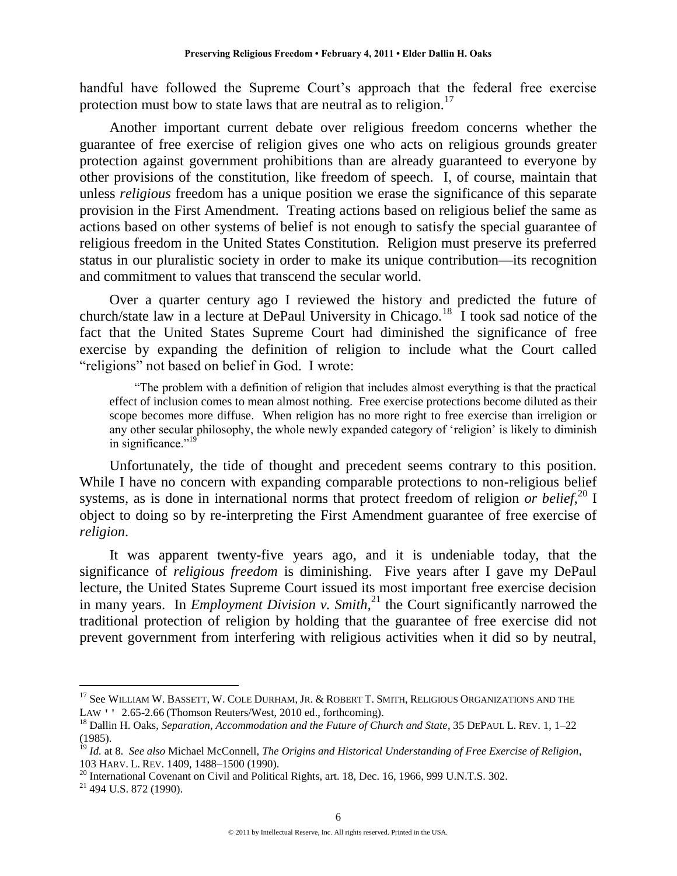handful have followed the Supreme Court's approach that the federal free exercise protection must bow to state laws that are neutral as to religion.<sup>17</sup>

Another important current debate over religious freedom concerns whether the guarantee of free exercise of religion gives one who acts on religious grounds greater protection against government prohibitions than are already guaranteed to everyone by other provisions of the constitution, like freedom of speech. I, of course, maintain that unless *religious* freedom has a unique position we erase the significance of this separate provision in the First Amendment. Treating actions based on religious belief the same as actions based on other systems of belief is not enough to satisfy the special guarantee of religious freedom in the United States Constitution. Religion must preserve its preferred status in our pluralistic society in order to make its unique contribution—its recognition and commitment to values that transcend the secular world.

Over a quarter century ago I reviewed the history and predicted the future of church/state law in a lecture at DePaul University in Chicago.<sup>18</sup> I took sad notice of the fact that the United States Supreme Court had diminished the significance of free exercise by expanding the definition of religion to include what the Court called "religions" not based on belief in God. I wrote:

―The problem with a definition of religion that includes almost everything is that the practical effect of inclusion comes to mean almost nothing. Free exercise protections become diluted as their scope becomes more diffuse. When religion has no more right to free exercise than irreligion or any other secular philosophy, the whole newly expanded category of 'religion' is likely to diminish in significance."<sup>19</sup>

Unfortunately, the tide of thought and precedent seems contrary to this position. While I have no concern with expanding comparable protections to non-religious belief systems, as is done in international norms that protect freedom of religion *or belief*,<sup>20</sup> I object to doing so by re-interpreting the First Amendment guarantee of free exercise of *religion*.

It was apparent twenty-five years ago, and it is undeniable today, that the significance of *religious freedom* is diminishing. Five years after I gave my DePaul lecture, the United States Supreme Court issued its most important free exercise decision in many years. In *Employment Division v. Smith*, <sup>21</sup> the Court significantly narrowed the traditional protection of religion by holding that the guarantee of free exercise did not prevent government from interfering with religious activities when it did so by neutral,

<sup>&</sup>lt;sup>17</sup> See WILLIAM W. BASSETT, W. COLE DURHAM, JR. & ROBERT T. SMITH, RELIGIOUS ORGANIZATIONS AND THE LAW '' 2.65-2.66 (Thomson Reuters/West, 2010 ed., forthcoming).

<sup>18</sup> Dallin H. Oaks, *Separation, Accommodation and the Future of Church and State*, 35 DEPAUL L. REV. 1, 1–22 (1985).

<sup>19</sup> *Id.* at 8. *See also* Michael McConnell, *The Origins and Historical Understanding of Free Exercise of Religion*, 103 HARV. L. REV. 1409, 1488–1500 (1990).

 $^{20}$  International Covenant on Civil and Political Rights, art. 18, Dec. 16, 1966, 999 U.N.T.S. 302.

<sup>&</sup>lt;sup>21</sup> 494 U.S. 872 (1990).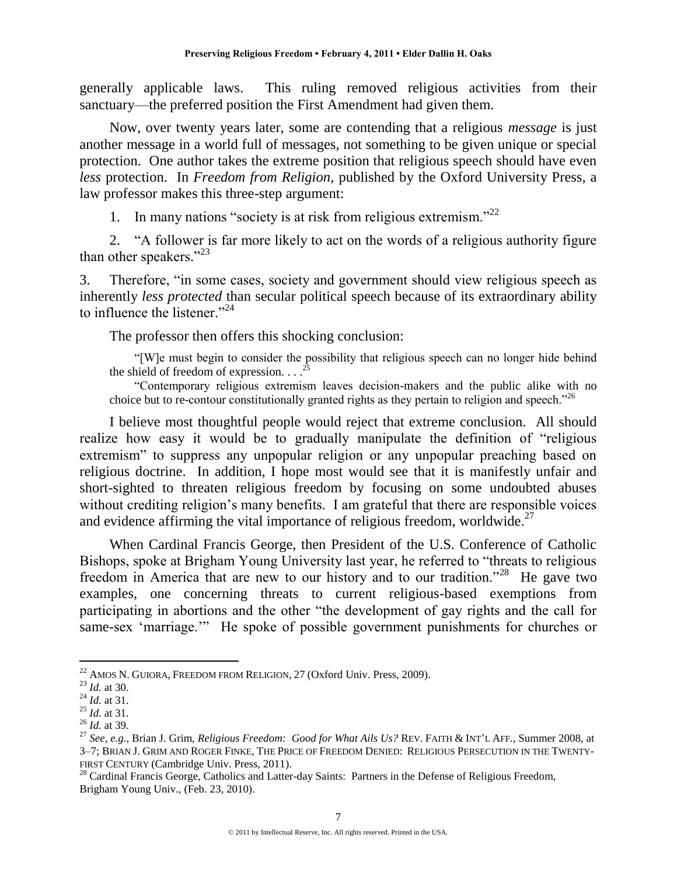generally applicable laws. This ruling removed religious activities from their sanctuary—the preferred position the First Amendment had given them.

Now, over twenty years later, some are contending that a religious *message* is just another message in a world full of messages, not something to be given unique or special protection. One author takes the extreme position that religious speech should have even *less* protection. In *Freedom from Religion*, published by the Oxford University Press, a law professor makes this three-step argument:

1. In many nations "society is at risk from religious extremism."<sup>22</sup>

2. "A follower is far more likely to act on the words of a religious authority figure than other speakers." $^{23}$ 

3. Therefore, "in some cases, society and government should view religious speech as inherently *less protected* than secular political speech because of its extraordinary ability to influence the listener." $^{24}$ 

The professor then offers this shocking conclusion:

―[W]e must begin to consider the possibility that religious speech can no longer hide behind the shield of freedom of expression.  $\ldots$ 

―Contemporary religious extremism leaves decision-makers and the public alike with no choice but to re-contour constitutionally granted rights as they pertain to religion and speech.<sup>226</sup>

I believe most thoughtful people would reject that extreme conclusion. All should realize how easy it would be to gradually manipulate the definition of "religious" extremism" to suppress any unpopular religion or any unpopular preaching based on religious doctrine. In addition, I hope most would see that it is manifestly unfair and short-sighted to threaten religious freedom by focusing on some undoubted abuses without crediting religion's many benefits. I am grateful that there are responsible voices and evidence affirming the vital importance of religious freedom, worldwide.<sup>27</sup>

When Cardinal Francis George, then President of the U.S. Conference of Catholic Bishops, spoke at Brigham Young University last year, he referred to "threats to religious freedom in America that are new to our history and to our tradition."<sup>28</sup> He gave two examples, one concerning threats to current religious-based exemptions from participating in abortions and the other "the development of gay rights and the call for same-sex 'marriage.'" He spoke of possible government punishments for churches or

<sup>&</sup>lt;sup>22</sup> AMOS N. GUIORA, FREEDOM FROM RELIGION, 27 (Oxford Univ. Press, 2009).

<sup>23</sup> *Id.* at 30.

<sup>24</sup> *Id.* at 31.

<sup>25</sup> *Id.* at 31.

<sup>26</sup> *Id.* at 39.

<sup>27</sup> *See, e.g.*, Brian J. Grim, *Religious Freedom: Good for What Ails Us?* REV. FAITH & INT'L AFF.*,* Summer 2008, at 3–7; BRIAN J. GRIM AND ROGER FINKE, THE PRICE OF FREEDOM DENIED: RELIGIOUS PERSECUTION IN THE TWENTY-FIRST CENTURY (Cambridge Univ. Press, 2011).

<sup>&</sup>lt;sup>28</sup> Cardinal Francis George, Catholics and Latter-day Saints: Partners in the Defense of Religious Freedom, Brigham Young Univ., (Feb. 23, 2010).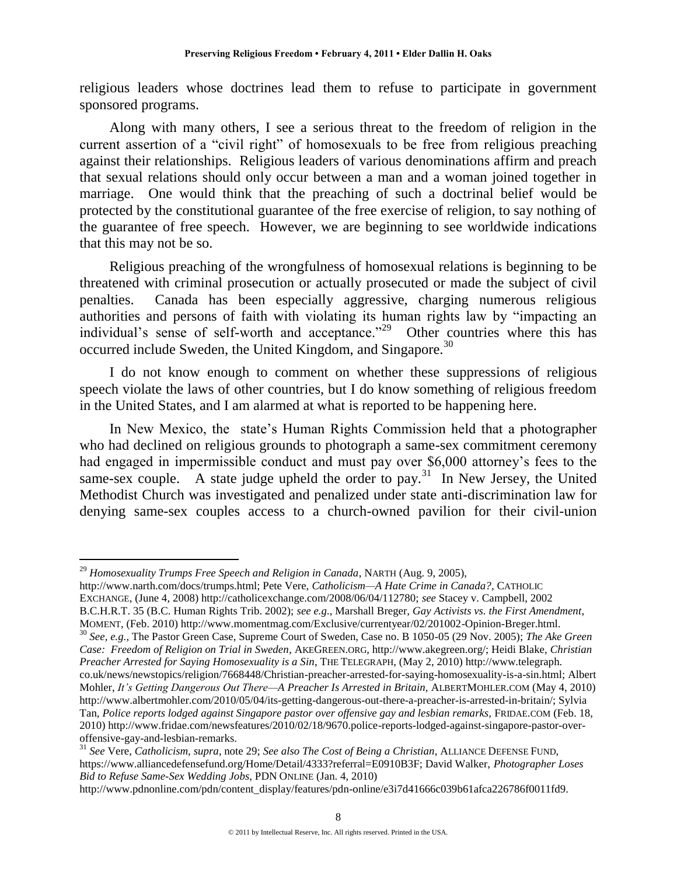religious leaders whose doctrines lead them to refuse to participate in government sponsored programs.

Along with many others, I see a serious threat to the freedom of religion in the current assertion of a "civil right" of homosexuals to be free from religious preaching against their relationships. Religious leaders of various denominations affirm and preach that sexual relations should only occur between a man and a woman joined together in marriage. One would think that the preaching of such a doctrinal belief would be protected by the constitutional guarantee of the free exercise of religion, to say nothing of the guarantee of free speech. However, we are beginning to see worldwide indications that this may not be so.

Religious preaching of the wrongfulness of homosexual relations is beginning to be threatened with criminal prosecution or actually prosecuted or made the subject of civil penalties. Canada has been especially aggressive, charging numerous religious authorities and persons of faith with violating its human rights law by "impacting an individual's sense of self-worth and acceptance."<sup>29</sup> Other countries where this has occurred include Sweden, the United Kingdom, and Singapore.<sup>30</sup>

I do not know enough to comment on whether these suppressions of religious speech violate the laws of other countries, but I do know something of religious freedom in the United States, and I am alarmed at what is reported to be happening here.

In New Mexico, the state's Human Rights Commission held that a photographer who had declined on religious grounds to photograph a same-sex commitment ceremony had engaged in impermissible conduct and must pay over \$6,000 attorney's fees to the same-sex couple. A state judge upheld the order to pay.<sup>31</sup> In New Jersey, the United Methodist Church was investigated and penalized under state anti-discrimination law for denying same-sex couples access to a church-owned pavilion for their civil-union

 $\overline{a}$ 

http://www.narth.com/docs/trumps.html; Pete Vere, *Catholicism—A Hate Crime in Canada?,* CATHOLIC EXCHANGE, (June 4, 2008) http://catholicexchange.com/2008/06/04/112780; *see* Stacey v. Campbell, 2002 B.C.H.R.T. 35 (B.C. Human Rights Trib. 2002); *see e.g.*, Marshall Breger, *Gay Activists vs. the First Amendment*,

MOMENT, (Feb. 2010) http://www.momentmag.com/Exclusive/currentyear/02/201002-Opinion-Breger.html.

<sup>30</sup> *See, e.g.*, The Pastor Green Case, Supreme Court of Sweden, Case no. B 1050-05 (29 Nov. 2005); *The Ake Green Case: Freedom of Religion on Trial in Sweden*, AKEGREEN.ORG, http://www.akegreen.org/; Heidi Blake, *Christian Preacher Arrested for Saying Homosexuality is a Sin*, THE TELEGRAPH, (May 2, 2010) http://www.telegraph. co.uk/news/newstopics/religion/7668448/Christian-preacher-arrested-for-saying-homosexuality-is-a-sin.html; Albert Mohler, *It's Getting Dangerous Out There—A Preacher Is Arrested in Britain,* ALBERTMOHLER.COM (May 4, 2010) http://www.albertmohler.com/2010/05/04/its-getting-dangerous-out-there-a-preacher-is-arrested-in-britain/; Sylvia Tan, *Police reports lodged against Singapore pastor over offensive gay and lesbian remarks,* FRIDAE.COM (Feb. 18, 2010) http://www.fridae.com/newsfeatures/2010/02/18/9670.police-reports-lodged-against-singapore-pastor-overoffensive-gay-and-lesbian-remarks.

<sup>29</sup> *Homosexuality Trumps Free Speech and Religion in Canada*, NARTH (Aug. 9, 2005),

<sup>31</sup> *See* Vere, *Catholicism, supra*, note 29; *See also The Cost of Being a Christian*, ALLIANCE DEFENSE FUND, https://www.alliancedefensefund.org/Home/Detail/4333?referral=E0910B3F; David Walker, *Photographer Loses Bid to Refuse Same-Sex Wedding Jobs,* PDN ONLINE (Jan. 4, 2010)

http://www.pdnonline.com/pdn/content\_display/features/pdn-online/e3i7d41666c039b61afca226786f0011fd9.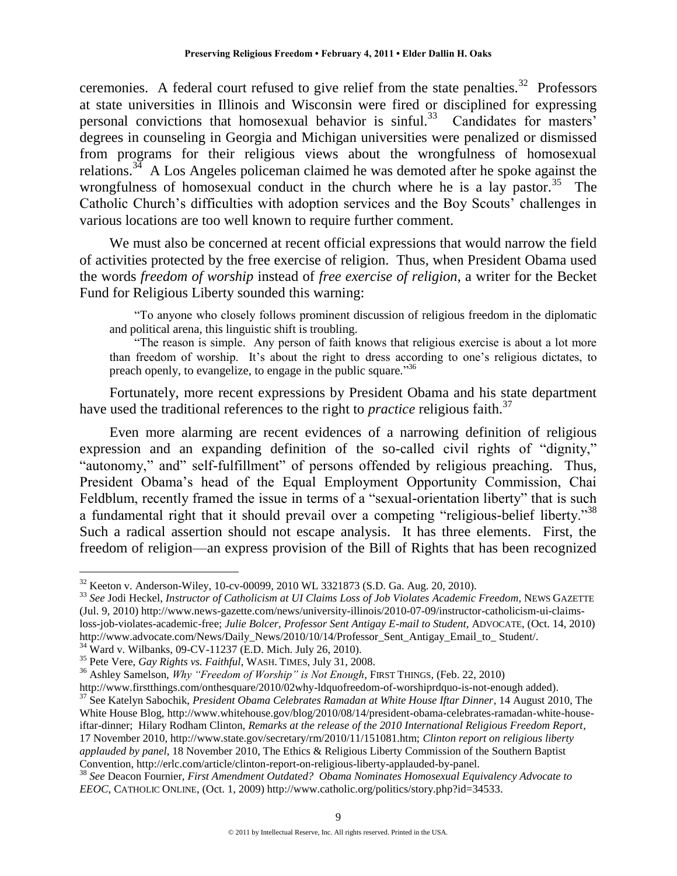ceremonies. A federal court refused to give relief from the state penalties.<sup>32</sup> Professors at state universities in Illinois and Wisconsin were fired or disciplined for expressing personal convictions that homosexual behavior is sinful.<sup>33</sup> Candidates for masters' degrees in counseling in Georgia and Michigan universities were penalized or dismissed from programs for their religious views about the wrongfulness of homosexual relations.<sup>34</sup> A Los Angeles policeman claimed he was demoted after he spoke against the wrongfulness of homosexual conduct in the church where he is a lay pastor.<sup>35</sup> The Catholic Church's difficulties with adoption services and the Boy Scouts' challenges in various locations are too well known to require further comment.

We must also be concerned at recent official expressions that would narrow the field of activities protected by the free exercise of religion. Thus, when President Obama used the words *freedom of worship* instead of *free exercise of religion*, a writer for the Becket Fund for Religious Liberty sounded this warning:

―To anyone who closely follows prominent discussion of religious freedom in the diplomatic and political arena, this linguistic shift is troubling.

"The reason is simple. Any person of faith knows that religious exercise is about a lot more than freedom of worship. It's about the right to dress according to one's religious dictates, to preach openly, to evangelize, to engage in the public square."<sup>36</sup>

Fortunately, more recent expressions by President Obama and his state department have used the traditional references to the right to *practice* religious faith.<sup>37</sup>

Even more alarming are recent evidences of a narrowing definition of religious expression and an expanding definition of the so-called civil rights of "dignity," "autonomy," and" self-fulfillment" of persons offended by religious preaching. Thus, President Obama's head of the Equal Employment Opportunity Commission, Chai Feldblum, recently framed the issue in terms of a "sexual-orientation liberty" that is such a fundamental right that it should prevail over a competing "religious-belief liberty."<sup>38</sup> Such a radical assertion should not escape analysis. It has three elements. First, the freedom of religion—an express provision of the Bill of Rights that has been recognized

<sup>32</sup> Keeton v. Anderson-Wiley, 10-cv-00099, 2010 WL 3321873 (S.D. Ga. Aug. 20, 2010).

<sup>33</sup> *See* Jodi Heckel, *Instructor of Catholicism at UI Claims Loss of Job Violates Academic Freedom*, NEWS GAZETTE (Jul. 9, 2010) http://www.news-gazette.com/news/university-illinois/2010-07-09/instructor-catholicism-ui-claimsloss-job-violates-academic-free; *Julie Bolcer, Professor Sent Antigay E-mail to Student*, ADVOCATE, (Oct. 14, 2010) http://www.advocate.com/News/Daily\_News/2010/10/14/Professor\_Sent\_Antigay\_Email\_to\_Student/. <sup>34</sup> Ward v. Wilbanks, 09-CV-11237 (E.D. Mich. July 26, 2010).

<sup>35</sup> Pete Vere, *Gay Rights vs. Faithful*, WASH. TIMES, July 31, 2008.

<sup>36</sup> Ashley Samelson, *Why "Freedom of Worship" is Not Enough*, FIRST THINGS*,* (Feb. 22, 2010)

http://www.firstthings.com/onthesquare/2010/02why-ldquofreedom-of-worshiprdquo-is-not-enough added).

<sup>37</sup> See Katelyn Sabochik, *President Obama Celebrates Ramadan at White House Iftar Dinner*, 14 August 2010, The White House Blog, http://www.whitehouse.gov/blog/2010/08/14/president-obama-celebrates-ramadan-white-houseiftar-dinner; Hilary Rodham Clinton, *Remarks at the release of the 2010 International Religious Freedom Report*, 17 November 2010, http://www.state.gov/secretary/rm/2010/11/151081.htm; *Clinton report on religious liberty applauded by panel*, 18 November 2010, The Ethics & Religious Liberty Commission of the Southern Baptist Convention, http://erlc.com/article/clinton-report-on-religious-liberty-applauded-by-panel.

<sup>38</sup> *See* Deacon Fournier, *First Amendment Outdated? Obama Nominates Homosexual Equivalency Advocate to EEOC*, CATHOLIC ONLINE, (Oct. 1, 2009) http://www.catholic.org/politics/story.php?id=34533.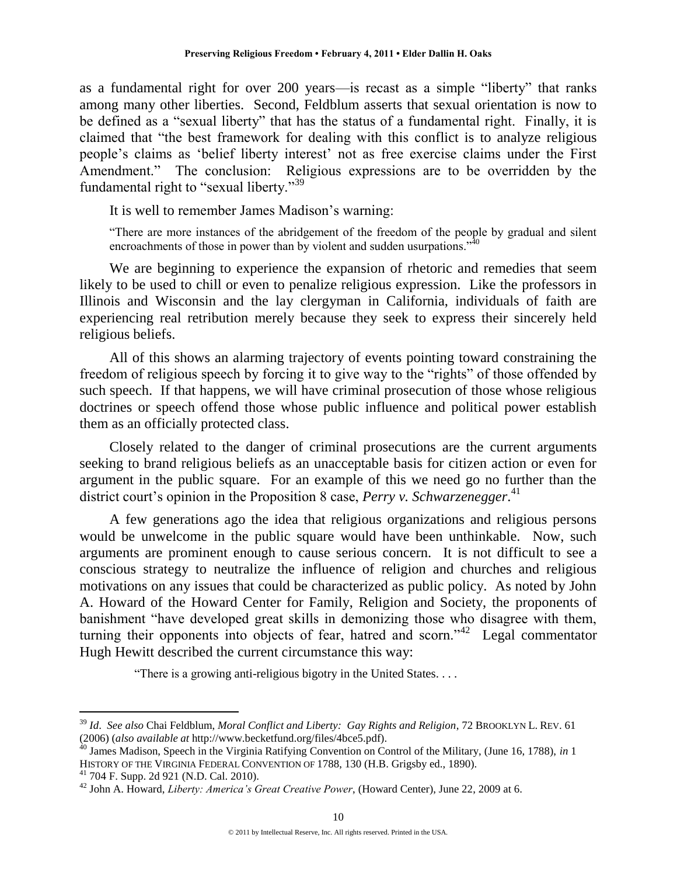as a fundamental right for over 200 years—is recast as a simple "liberty" that ranks among many other liberties. Second, Feldblum asserts that sexual orientation is now to be defined as a "sexual liberty" that has the status of a fundamental right. Finally, it is claimed that "the best framework for dealing with this conflict is to analyze religious people's claims as ‗belief liberty interest' not as free exercise claims under the First Amendment." The conclusion: Religious expressions are to be overridden by the fundamental right to "sexual liberty."<sup>39</sup>

It is well to remember James Madison's warning:

―There are more instances of the abridgement of the freedom of the people by gradual and silent encroachments of those in power than by violent and sudden usurpations.<sup> $,40$ </sup>

We are beginning to experience the expansion of rhetoric and remedies that seem likely to be used to chill or even to penalize religious expression. Like the professors in Illinois and Wisconsin and the lay clergyman in California, individuals of faith are experiencing real retribution merely because they seek to express their sincerely held religious beliefs.

All of this shows an alarming trajectory of events pointing toward constraining the freedom of religious speech by forcing it to give way to the "rights" of those offended by such speech. If that happens, we will have criminal prosecution of those whose religious doctrines or speech offend those whose public influence and political power establish them as an officially protected class.

Closely related to the danger of criminal prosecutions are the current arguments seeking to brand religious beliefs as an unacceptable basis for citizen action or even for argument in the public square. For an example of this we need go no further than the district court's opinion in the Proposition 8 case, *Perry v. Schwarzenegger*. 41

A few generations ago the idea that religious organizations and religious persons would be unwelcome in the public square would have been unthinkable. Now, such arguments are prominent enough to cause serious concern. It is not difficult to see a conscious strategy to neutralize the influence of religion and churches and religious motivations on any issues that could be characterized as public policy. As noted by John A. Howard of the Howard Center for Family, Religion and Society, the proponents of banishment "have developed great skills in demonizing those who disagree with them, turning their opponents into objects of fear, hatred and scorn." $42$  Legal commentator Hugh Hewitt described the current circumstance this way:

"There is a growing anti-religious bigotry in the United States....

<sup>39</sup> *Id*. *See also* Chai Feldblum, *Moral Conflict and Liberty: Gay Rights and Religion*, 72 BROOKLYN L. REV. 61 (2006) (*also available at* http://www.becketfund.org/files/4bce5.pdf).

<sup>40</sup> James Madison, Speech in the Virginia Ratifying Convention on Control of the Military, (June 16, 1788), *in* 1 HISTORY OF THE VIRGINIA FEDERAL CONVENTION OF 1788, 130 (H.B. Grigsby ed., 1890).

<sup>41</sup> 704 F. Supp. 2d 921 (N.D. Cal. 2010).

<sup>42</sup> John A. Howard, *Liberty: America's Great Creative Power*, (Howard Center), June 22, 2009 at 6.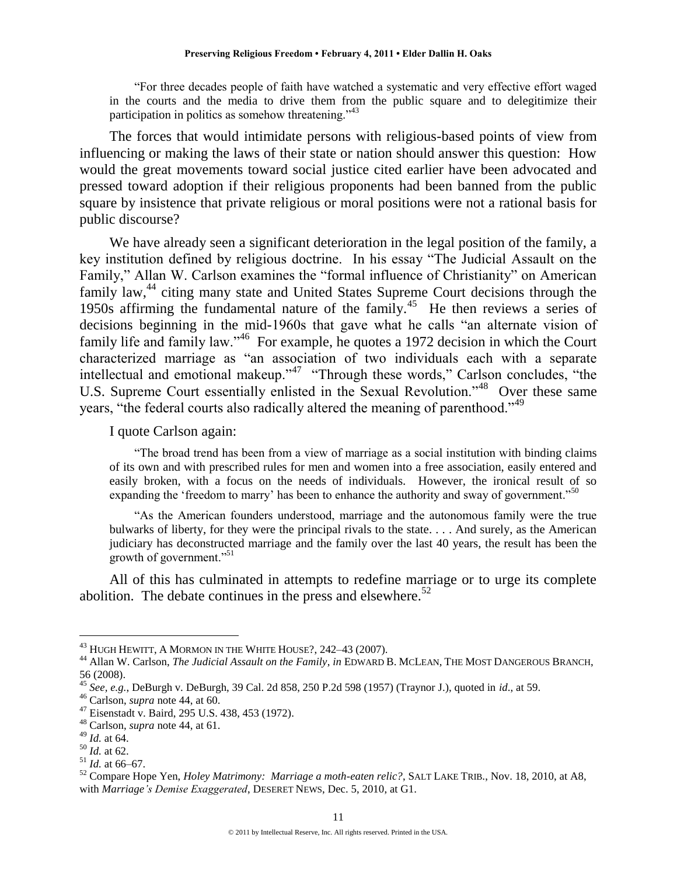―For three decades people of faith have watched a systematic and very effective effort waged in the courts and the media to drive them from the public square and to delegitimize their participation in politics as somehow threatening.<sup> $343$ </sup>

The forces that would intimidate persons with religious-based points of view from influencing or making the laws of their state or nation should answer this question: How would the great movements toward social justice cited earlier have been advocated and pressed toward adoption if their religious proponents had been banned from the public square by insistence that private religious or moral positions were not a rational basis for public discourse?

We have already seen a significant deterioration in the legal position of the family, a key institution defined by religious doctrine. In his essay "The Judicial Assault on the Family," Allan W. Carlson examines the "formal influence of Christianity" on American family law,<sup>44</sup> citing many state and United States Supreme Court decisions through the 1950s affirming the fundamental nature of the family.<sup>45</sup> He then reviews a series of decisions beginning in the mid-1960s that gave what he calls "an alternate vision of family life and family law."<sup>46</sup> For example, he quotes a 1972 decision in which the Court characterized marriage as "an association of two individuals each with a separate intellectual and emotional makeup."<sup>47</sup> "Through these words," Carlson concludes, "the U.S. Supreme Court essentially enlisted in the Sexual Revolution."<sup>48</sup> Over these same years, "the federal courts also radically altered the meaning of parenthood."<sup>49</sup>

I quote Carlson again:

―The broad trend has been from a view of marriage as a social institution with binding claims of its own and with prescribed rules for men and women into a free association, easily entered and easily broken, with a focus on the needs of individuals. However, the ironical result of so expanding the 'freedom to marry' has been to enhance the authority and sway of government.<sup>500</sup>

―As the American founders understood, marriage and the autonomous family were the true bulwarks of liberty, for they were the principal rivals to the state. . . . And surely, as the American judiciary has deconstructed marriage and the family over the last 40 years, the result has been the growth of government."<sup>51</sup>

All of this has culminated in attempts to redefine marriage or to urge its complete abolition. The debate continues in the press and elsewhere.<sup>52</sup>

 $^{43}$  Hugh Hewitt, A Mormon in the White House?, 242–43 (2007).

<sup>44</sup> Allan W. Carlson, *The Judicial Assault on the Family*, *in* EDWARD B. MCLEAN, THE MOST DANGEROUS BRANCH, 56 (2008).

<sup>45</sup> *See, e.g.*, DeBurgh v. DeBurgh, 39 Cal. 2d 858, 250 P.2d 598 (1957) (Traynor J.), quoted in *id*., at 59.

<sup>46</sup> Carlson, *supra* note 44, at 60.

<sup>47</sup> Eisenstadt v. Baird, 295 U.S. 438, 453 (1972).

<sup>48</sup> Carlson, *supra* note 44, at 61.

<sup>49</sup> *Id.* at 64.

<sup>50</sup> *Id.* at 62.

<sup>51</sup> *Id.* at 66–67.

<sup>52</sup> Compare Hope Yen, *Holey Matrimony: Marriage a moth-eaten relic?*, SALT LAKE TRIB., Nov. 18, 2010, at A8, with *Marriage's Demise Exaggerated*, DESERET NEWS, Dec. 5, 2010, at G1.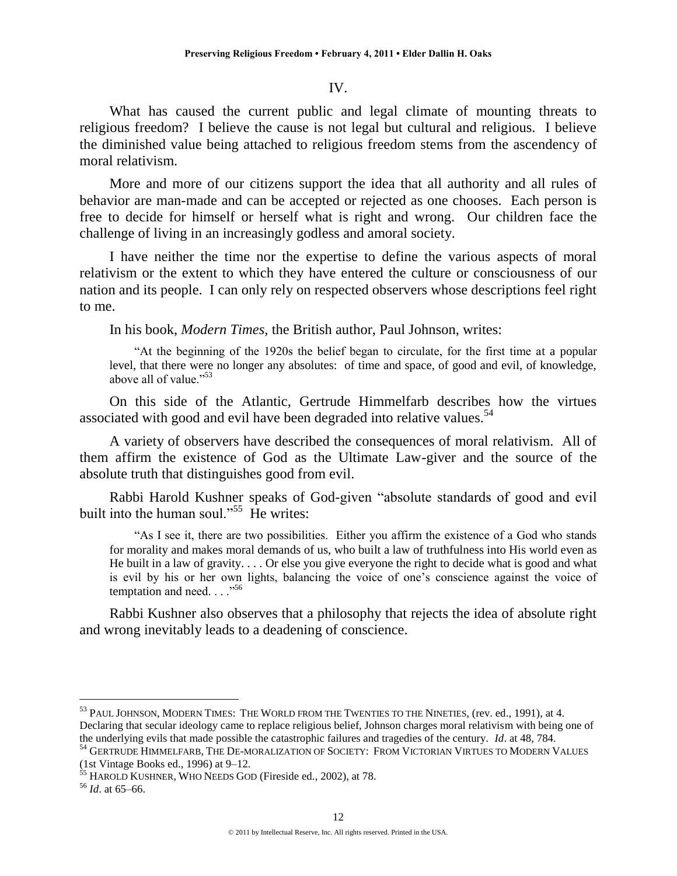### IV.

What has caused the current public and legal climate of mounting threats to religious freedom? I believe the cause is not legal but cultural and religious. I believe the diminished value being attached to religious freedom stems from the ascendency of moral relativism.

More and more of our citizens support the idea that all authority and all rules of behavior are man-made and can be accepted or rejected as one chooses. Each person is free to decide for himself or herself what is right and wrong. Our children face the challenge of living in an increasingly godless and amoral society.

I have neither the time nor the expertise to define the various aspects of moral relativism or the extent to which they have entered the culture or consciousness of our nation and its people. I can only rely on respected observers whose descriptions feel right to me.

In his book, *Modern Times,* the British author, Paul Johnson, writes:

―At the beginning of the 1920s the belief began to circulate, for the first time at a popular level, that there were no longer any absolutes: of time and space, of good and evil, of knowledge, above all of value."<sup>53</sup>

On this side of the Atlantic, Gertrude Himmelfarb describes how the virtues associated with good and evil have been degraded into relative values.<sup>54</sup>

A variety of observers have described the consequences of moral relativism. All of them affirm the existence of God as the Ultimate Law-giver and the source of the absolute truth that distinguishes good from evil.

Rabbi Harold Kushner speaks of God-given "absolute standards of good and evil built into the human soul."<sup>55</sup> He writes:

"As I see it, there are two possibilities. Either you affirm the existence of a God who stands for morality and makes moral demands of us, who built a law of truthfulness into His world even as He built in a law of gravity. . . . Or else you give everyone the right to decide what is good and what is evil by his or her own lights, balancing the voice of one's conscience against the voice of temptation and need.  $\ldots$ <sup>56</sup>

Rabbi Kushner also observes that a philosophy that rejects the idea of absolute right and wrong inevitably leads to a deadening of conscience.

<sup>&</sup>lt;sup>53</sup> PAUL JOHNSON, MODERN TIMES: THE WORLD FROM THE TWENTIES TO THE NINETIES, (rev. ed., 1991), at 4. Declaring that secular ideology came to replace religious belief, Johnson charges moral relativism with being one of the underlying evils that made possible the catastrophic failures and tragedies of the century. *Id*. at 48, 784.

<sup>54</sup> GERTRUDE HIMMELFARB, THE DE-MORALIZATION OF SOCIETY: FROM VICTORIAN VIRTUES TO MODERN VALUES (1st Vintage Books ed., 1996) at 9–12.

<sup>&</sup>lt;sup>55</sup> HAROLD KUSHNER, WHO NEEDS GOD (Fireside ed., 2002), at 78.

<sup>56</sup> *Id*. at 65–66.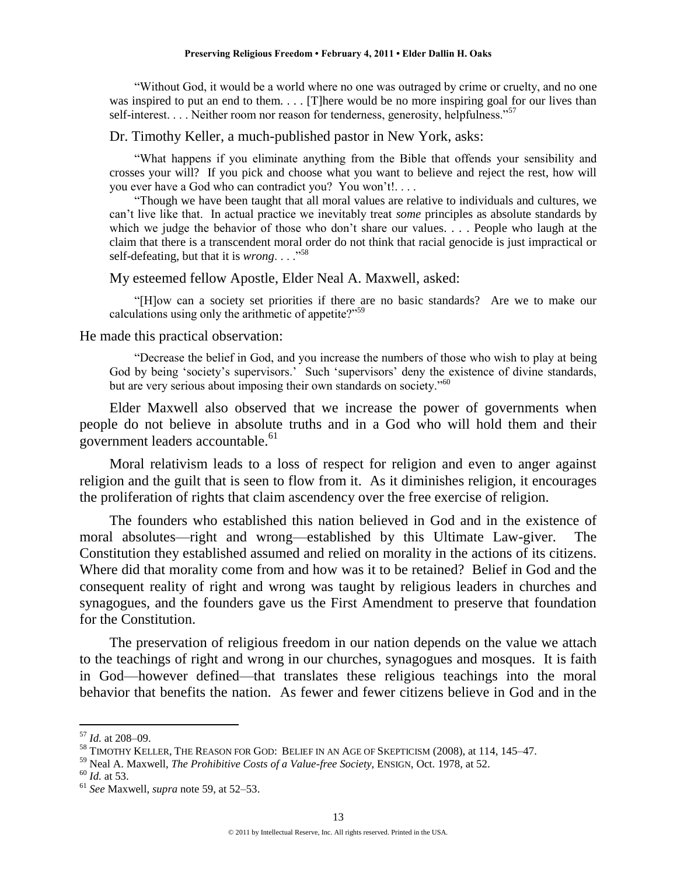―Without God, it would be a world where no one was outraged by crime or cruelty, and no one was inspired to put an end to them. . . . [T]here would be no more inspiring goal for our lives than self-interest. . . . Neither room nor reason for tenderness, generosity, helpfulness.<sup>57</sup>

Dr. Timothy Keller, a much-published pastor in New York, asks:

―What happens if you eliminate anything from the Bible that offends your sensibility and crosses your will? If you pick and choose what you want to believe and reject the rest, how will you ever have a God who can contradict you? You won't!. . . .

―Though we have been taught that all moral values are relative to individuals and cultures, we can't live like that. In actual practice we inevitably treat *some* principles as absolute standards by which we judge the behavior of those who don't share our values. . . . People who laugh at the claim that there is a transcendent moral order do not think that racial genocide is just impractical or self-defeating, but that it is *wrong*. . . .<sup>58</sup>

My esteemed fellow Apostle, Elder Neal A. Maxwell, asked:

―[H]ow can a society set priorities if there are no basic standards? Are we to make our calculations using only the arithmetic of appetite? $159$ 

#### He made this practical observation:

―Decrease the belief in God, and you increase the numbers of those who wish to play at being God by being 'society's supervisors.' Such 'supervisors' deny the existence of divine standards, but are very serious about imposing their own standards on society."<sup>60</sup>

Elder Maxwell also observed that we increase the power of governments when people do not believe in absolute truths and in a God who will hold them and their government leaders accountable.<sup>61</sup>

Moral relativism leads to a loss of respect for religion and even to anger against religion and the guilt that is seen to flow from it. As it diminishes religion, it encourages the proliferation of rights that claim ascendency over the free exercise of religion.

The founders who established this nation believed in God and in the existence of moral absolutes—right and wrong—established by this Ultimate Law-giver. The Constitution they established assumed and relied on morality in the actions of its citizens. Where did that morality come from and how was it to be retained? Belief in God and the consequent reality of right and wrong was taught by religious leaders in churches and synagogues, and the founders gave us the First Amendment to preserve that foundation for the Constitution.

The preservation of religious freedom in our nation depends on the value we attach to the teachings of right and wrong in our churches, synagogues and mosques. It is faith in God—however defined—that translates these religious teachings into the moral behavior that benefits the nation. As fewer and fewer citizens believe in God and in the

<sup>57</sup> *Id.* at 208–09.

<sup>58</sup> TIMOTHY KELLER, THE REASON FOR GOD: BELIEF IN AN AGE OF SKEPTICISM (2008), at 114, 145–47.

<sup>59</sup> Neal A. Maxwell, *The Prohibitive Costs of a Value-free Society*, ENSIGN, Oct. 1978, at 52.

<sup>60</sup> *Id.* at 53.

<sup>61</sup> *See* Maxwell, *supra* note 59, at 52–53.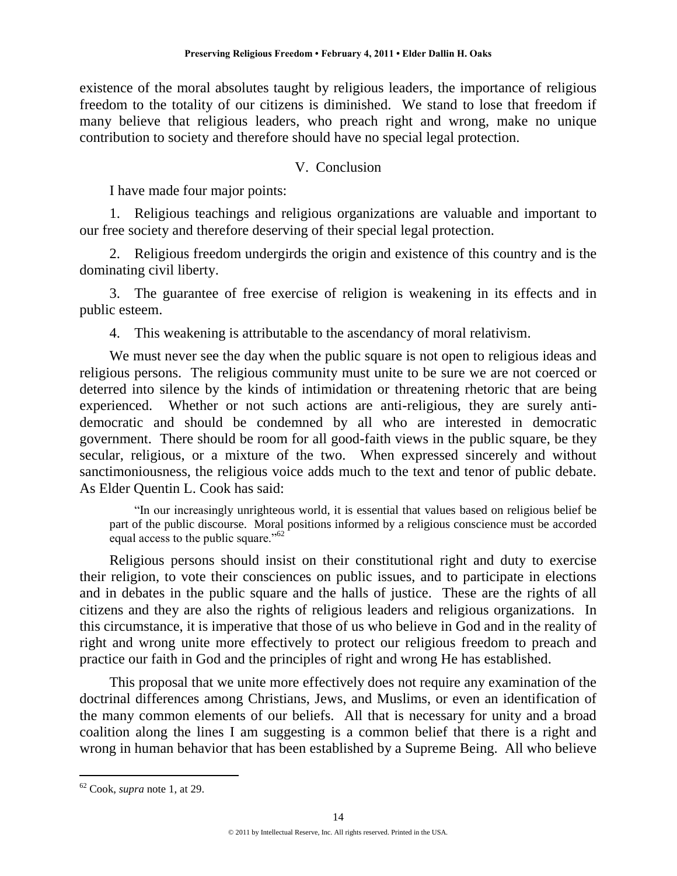existence of the moral absolutes taught by religious leaders, the importance of religious freedom to the totality of our citizens is diminished. We stand to lose that freedom if many believe that religious leaders, who preach right and wrong, make no unique contribution to society and therefore should have no special legal protection.

# V. Conclusion

I have made four major points:

1. Religious teachings and religious organizations are valuable and important to our free society and therefore deserving of their special legal protection.

2. Religious freedom undergirds the origin and existence of this country and is the dominating civil liberty.

3. The guarantee of free exercise of religion is weakening in its effects and in public esteem.

4. This weakening is attributable to the ascendancy of moral relativism.

We must never see the day when the public square is not open to religious ideas and religious persons. The religious community must unite to be sure we are not coerced or deterred into silence by the kinds of intimidation or threatening rhetoric that are being experienced. Whether or not such actions are anti-religious, they are surely antidemocratic and should be condemned by all who are interested in democratic government. There should be room for all good-faith views in the public square, be they secular, religious, or a mixture of the two. When expressed sincerely and without sanctimoniousness, the religious voice adds much to the text and tenor of public debate. As Elder Quentin L. Cook has said:

―In our increasingly unrighteous world, it is essential that values based on religious belief be part of the public discourse. Moral positions informed by a religious conscience must be accorded equal access to the public square."<sup>62</sup>

Religious persons should insist on their constitutional right and duty to exercise their religion, to vote their consciences on public issues, and to participate in elections and in debates in the public square and the halls of justice. These are the rights of all citizens and they are also the rights of religious leaders and religious organizations. In this circumstance, it is imperative that those of us who believe in God and in the reality of right and wrong unite more effectively to protect our religious freedom to preach and practice our faith in God and the principles of right and wrong He has established.

This proposal that we unite more effectively does not require any examination of the doctrinal differences among Christians, Jews, and Muslims, or even an identification of the many common elements of our beliefs. All that is necessary for unity and a broad coalition along the lines I am suggesting is a common belief that there is a right and wrong in human behavior that has been established by a Supreme Being. All who believe

<sup>62</sup> Cook, *supra* note 1, at 29.